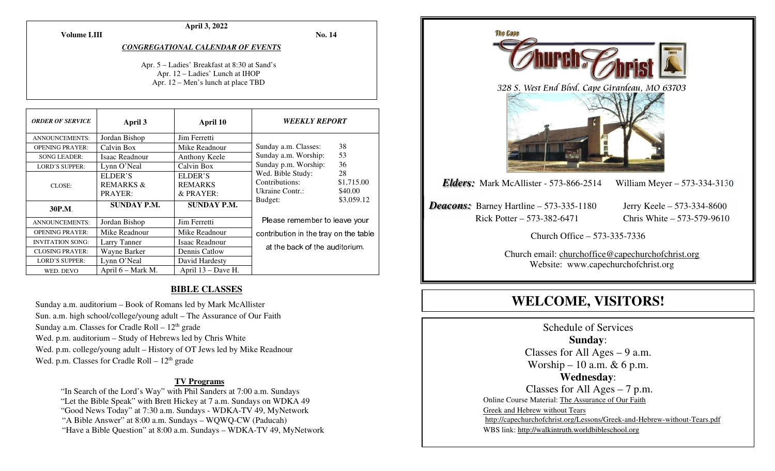**April 3, 2022** 

**Volume LIII**

**No. 14** 

*CONGREGATIONAL CALENDAR OF EVENTS* 

Apr. 5 – Ladies' Breakfast at 8:30 at Sand's Apr. 12 – Ladies' Lunch at IHOP Apr. 12 – Men's lunch at place TBD

| <b>ORDER OF SERVICE</b> | April 3                            | April 10                               | <i><b>WEEKLY REPORT</b></i>                                                                                                                                                |    |
|-------------------------|------------------------------------|----------------------------------------|----------------------------------------------------------------------------------------------------------------------------------------------------------------------------|----|
| <b>ANNOUNCEMENTS:</b>   | Jordan Bishop                      | Jim Ferretti                           |                                                                                                                                                                            |    |
| <b>OPENING PRAYER:</b>  | Calvin Box                         | Mike Readnour                          | Sunday a.m. Classes:                                                                                                                                                       | 38 |
| <b>SONG LEADER:</b>     | Isaac Readnour                     | Anthony Keele                          | 53<br>Sunday a.m. Worship:<br>36<br>Sunday p.m. Worship:<br>Wed. Bible Study:<br>28<br>Contributions:<br>\$1,715.00<br>Ukraine Contr.:<br>\$40.00<br>\$3,059.12<br>Budget: |    |
| <b>LORD'S SUPPER:</b>   | Lynn O'Neal                        | Calvin Box                             |                                                                                                                                                                            |    |
| CLOSE:                  | ELDER'S<br>REMARKS $\&$<br>PRAYER: | ELDER'S<br><b>REMARKS</b><br>& PRAYER: |                                                                                                                                                                            |    |
| 30P.M.                  | <b>SUNDAY P.M.</b>                 | <b>SUNDAY P.M.</b>                     |                                                                                                                                                                            |    |
| <b>ANNOUNCEMENTS:</b>   | Jordan Bishop                      | Jim Ferretti                           | Please remember to leave your<br>contribution in the tray on the table                                                                                                     |    |
| <b>OPENING PRAYER:</b>  | Mike Readnour                      | Mike Readnour                          |                                                                                                                                                                            |    |
| <b>INVITATION SONG:</b> | Larry Tanner                       | Isaac Readnour                         |                                                                                                                                                                            |    |
| <b>CLOSING PRAYER:</b>  | Wayne Barker                       | Dennis Catlow                          | at the back of the auditorium.                                                                                                                                             |    |
| <b>LORD'S SUPPER:</b>   | Lynn O'Neal                        | David Hardesty                         |                                                                                                                                                                            |    |
| WED. DEVO               | April 6 – Mark M.                  | April 13 – Dave H.                     |                                                                                                                                                                            |    |

#### **BIBLE CLASSES**

Sunday a.m. auditorium – Book of Romans led by Mark McAllister Sun. a.m. high school/college/young adult – The Assurance of Our Faith Sunday a.m. Classes for Cradle Roll –  $12<sup>th</sup>$  grade Wed. p.m. auditorium – Study of Hebrews led by Chris White Wed. p.m. college/young adult – History of OT Jews led by Mike Readnour Wed. p.m. Classes for Cradle Roll  $-12<sup>th</sup>$  grade

#### **TV Programs**

"In Search of the Lord's Way" with Phil Sanders at 7:00 a.m. Sundays

"Let the Bible Speak" with Brett Hickey at 7 a.m. Sundays on WDKA 49

"Good News Today" at 7:30 a.m. Sundays - WDKA-TV 49, MyNetwork

"A Bible Answer" at 8:00 a.m. Sundays – WQWQ-CW (Paducah)

"Have a Bible Question" at 8:00 a.m. Sundays – WDKA-TV 49, MyNetwork



# **WELCOME, VISITORS!**

Schedule of Services **Sunday**: Classes for All Ages – 9 a.m. Worship – 10 a.m.  $\& 6$  p.m. **Wednesday**: Classes for All Ages – 7 p.m. Online Course Material: The Assurance of Our Faith Greek and Hebrew without Tears http://capechurchofchrist.org/Lessons/Greek-and-Hebrew-without-Tears.pdfWBS link: http://walkintruth.worldbibleschool.org